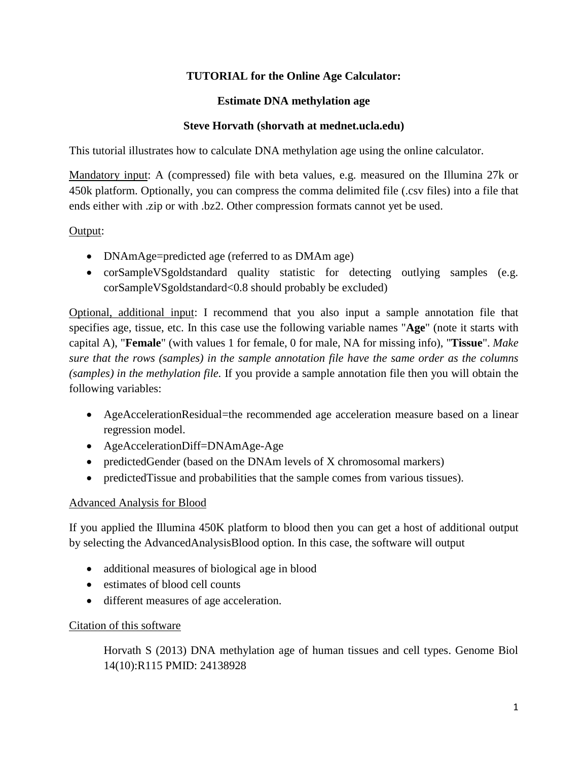### **TUTORIAL for the Online Age Calculator:**

#### **Estimate DNA methylation age**

#### **Steve Horvath (shorvath at mednet.ucla.edu)**

This tutorial illustrates how to calculate DNA methylation age using the online calculator.

Mandatory input: A (compressed) file with beta values, e.g. measured on the Illumina 27k or 450k platform. Optionally, you can compress the comma delimited file (.csv files) into a file that ends either with .zip or with .bz2. Other compression formats cannot yet be used.

#### Output:

- DNAmAge=predicted age (referred to as DMAm age)
- corSampleVSgoldstandard quality statistic for detecting outlying samples (e.g. corSampleVSgoldstandard<0.8 should probably be excluded)

Optional, additional input: I recommend that you also input a sample annotation file that specifies age, tissue, etc. In this case use the following variable names "**Age**" (note it starts with capital A), "**Female**" (with values 1 for female, 0 for male, NA for missing info), "**Tissue**". *Make sure that the rows (samples) in the sample annotation file have the same order as the columns (samples) in the methylation file.* If you provide a sample annotation file then you will obtain the following variables:

- AgeAccelerationResidual=the recommended age acceleration measure based on a linear regression model.
- AgeAccelerationDiff=DNAmAge-Age
- predictedGender (based on the DNAm levels of X chromosomal markers)
- predictedTissue and probabilities that the sample comes from various tissues).

### Advanced Analysis for Blood

If you applied the Illumina 450K platform to blood then you can get a host of additional output by selecting the AdvancedAnalysisBlood option. In this case, the software will output

- additional measures of biological age in blood
- estimates of blood cell counts
- different measures of age acceleration.

### Citation of this software

Horvath S (2013) DNA methylation age of human tissues and cell types. Genome Biol 14(10):R115 PMID: 24138928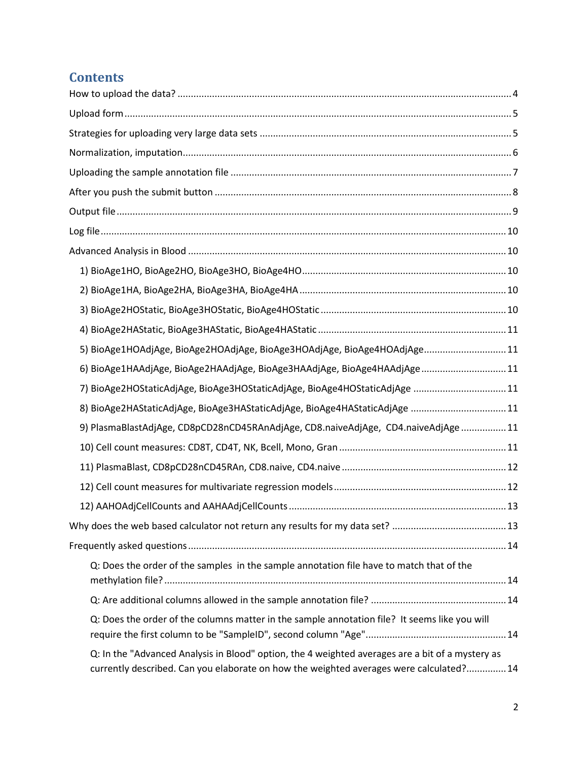# **Contents**

| 5) BioAge1HOAdjAge, BioAge2HOAdjAge, BioAge3HOAdjAge, BioAge4HOAdjAge11                                                                                                                     |
|---------------------------------------------------------------------------------------------------------------------------------------------------------------------------------------------|
| 6) BioAge1HAAdjAge, BioAge2HAAdjAge, BioAge3HAAdjAge, BioAge4HAAdjAge 11                                                                                                                    |
| 7) BioAge2HOStaticAdjAge, BioAge3HOStaticAdjAge, BioAge4HOStaticAdjAge 11                                                                                                                   |
| 8) BioAge2HAStaticAdjAge, BioAge3HAStaticAdjAge, BioAge4HAStaticAdjAge  11                                                                                                                  |
| 9) PlasmaBlastAdjAge, CD8pCD28nCD45RAnAdjAge, CD8.naiveAdjAge, CD4.naiveAdjAge 11                                                                                                           |
|                                                                                                                                                                                             |
|                                                                                                                                                                                             |
|                                                                                                                                                                                             |
|                                                                                                                                                                                             |
|                                                                                                                                                                                             |
|                                                                                                                                                                                             |
| Q: Does the order of the samples in the sample annotation file have to match that of the                                                                                                    |
|                                                                                                                                                                                             |
| Q: Does the order of the columns matter in the sample annotation file? It seems like you will                                                                                               |
| Q: In the "Advanced Analysis in Blood" option, the 4 weighted averages are a bit of a mystery as<br>currently described. Can you elaborate on how the weighted averages were calculated? 14 |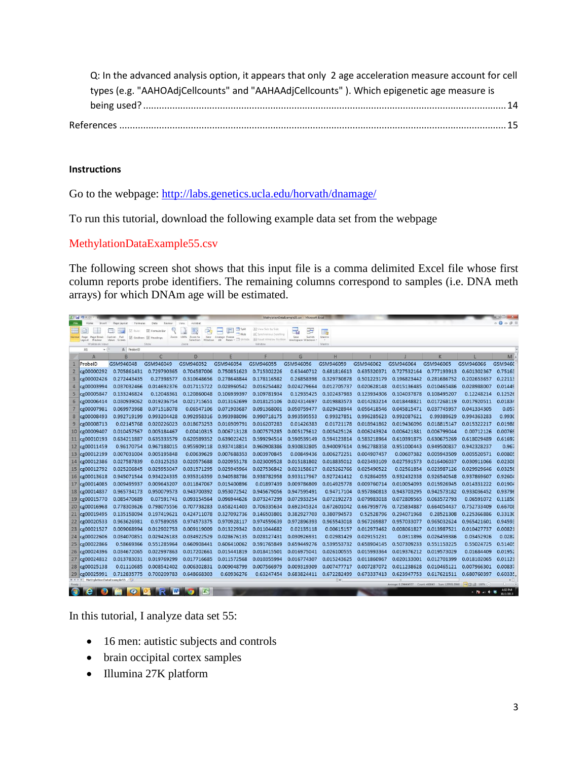| Q: In the advanced analysis option, it appears that only 2 age acceleration measure account for cell |  |
|------------------------------------------------------------------------------------------------------|--|
| types (e.g. "AAHOAdjCellcounts" and "AAHAAdjCellcounts"). Which epigenetic age measure is            |  |
|                                                                                                      |  |
|                                                                                                      |  |

#### **Instructions**

Go to the webpage:<http://labs.genetics.ucla.edu/horvath/dnamage/>

To run this tutorial, download the following example data set from the webpage

#### MethylationDataExample55.csv

The following screen shot shows that this input file is a comma delimited Excel file whose first column reports probe identifiers. The remaining columns correspond to samples (i.e. DNA meth arrays) for which DNAm age will be estimated.

| アーマー<br>MethylationDataExample55.csv - Microsoft Excel                                                                                       |                                                                  |                                |                              |                                                            |                                             |                                          |                                     |                  |             |             |             |             |                 |
|----------------------------------------------------------------------------------------------------------------------------------------------|------------------------------------------------------------------|--------------------------------|------------------------------|------------------------------------------------------------|---------------------------------------------|------------------------------------------|-------------------------------------|------------------|-------------|-------------|-------------|-------------|-----------------|
|                                                                                                                                              | Insert                                                           | Page Layout<br>Formulas        | Data<br>Review               | View<br>Acroba                                             | Split                                       | 13 View Side by Side                     |                                     |                  |             |             |             |             | $\circ$ 0 - 0 8 |
|                                                                                                                                              |                                                                  | V Ruter                        | Pormula Bar                  | B<br>$-68$                                                 | ۳<br>$-$ Hide                               | 11. Synchronous Scrolling                | ا د                                 | 罅                |             |             |             |             |                 |
| Normal                                                                                                                                       | Page Break<br>Page<br><b>Preview</b><br>Layout<br>Workbook Views | Full<br>Custom<br>Views Screen | Cridlines V Headings<br>Show | Zoom 100%<br>Zoom to<br>New<br>Selection<br>Window<br>Zoom | Atrange Freeze<br>Panes - III Unhide<br>All | <b>A Reset Window Position</b><br>Window | Save<br>Switch<br>Workspace Windows | Macros<br>Macros |             |             |             |             |                 |
| $f_x$ ProbelD<br>A1                                                                                                                          |                                                                  |                                |                              |                                                            |                                             |                                          |                                     |                  |             |             |             |             |                 |
|                                                                                                                                              | A                                                                | B                              | $\overline{C}$               | D                                                          | F                                           | F                                        | G                                   | H                |             |             | K           |             | $M -$           |
|                                                                                                                                              | ProbelD                                                          | GSM946048                      | GSM946049                    | GSM946052                                                  | GSM946054                                   | GSM946055                                | GSM946056                           | GSM946059        | GSM946062   | GSM946064   | GSM946065   | GSM946066   | <b>GSM9460</b>  |
|                                                                                                                                              | cg00000292                                                       | 0.705861431                    | 0.729790365                  | 0.704587006                                                | 0.750851623                                 | 0.715302226                              | 0.63440712                          | 0.681816613      | 0.635320371 | 0.727532164 | 0.777193913 | 0.601302367 | 0.75163         |
| З                                                                                                                                            | cg00002426                                                       | 0.272443435                    | 0.27398577                   | 0.310648656                                                | 0.278648844                                 | 0.178116582                              | 0.26858398                          | 0.329730878      | 0.501223179 | 0.196823442 | 0.281686752 | 0.202653657 | 0.22113         |
|                                                                                                                                              | cg00003994                                                       | 0.037032466                    | 0.014692376                  | 0.017115722                                                | 0.028960542                                 | 0.016254482                              | 0.024279664                         | 0.012705737      | 0.020628148 | 0.015136485 | 0.010465486 | 0.028988007 | 0.01449         |
|                                                                                                                                              | cg00005847                                                       | 0.133246824                    | 0.12048361                   | 0.120860048                                                | 0.106939397                                 | 0.109781934                              | 0.12935425                          | 0.102437983      | 0.123934306 | 0.104037878 | 0.108495207 | 0.12248214  | 0.12526         |
| 6                                                                                                                                            | cg00006414                                                       | 0.030939062                    | 0.019236754                  | 0.021715651                                                | 0.013162699                                 | 0.018125106                              | 0.024314697                         | 0.019883573      | 0.014283214 | 0.018448821 | 0.017268119 | 0.017920511 | 0.01834         |
|                                                                                                                                              | cg00007981                                                       | 0.069973968                    | 0.071518078                  | 0.06547106                                                 | 0.071903687                                 | 0.091368001                              | 0.050759477                         | 0.029428944      | 0.056418546 | 0.045815471 | 0.037745957 | 0.041334305 | 0.057           |
| $\boldsymbol{8}$                                                                                                                             | cg00008493                                                       | 0.992719199                    | 0.993204428                  | 0.992958316                                                | 0.993988096                                 | 0.990718175                              | 0.993595553                         | 0.99327851       | 0.996285623 | 0.992087621 | 0.99389629  | 0.994363283 | 0.9930          |
| 9                                                                                                                                            | cg00008713                                                       | 0.02145768                     | 0.020226023                  | 0.018673253                                                | 0.016909791                                 | 0.016207283                              | 0.01426383                          | 0.01721178       | 0.018941862 | 0.019436096 | 0.018815147 | 0.015322217 | 0.01988         |
| 10                                                                                                                                           | cg00009407                                                       | 0.010457567                    | 0.005184467                  | 0.00410315                                                 | 0.006713128                                 | 0.007575285                              | 0.005175612                         | 0.005425126      | 0.006243924 | 0.006421381 | 0.006799044 | 0.00712126  | 0.00769         |
| 11                                                                                                                                           | cg00010193                                                       | 0.634211887                    | 0.635333579                  | 0.620589352                                                | 0.639022421                                 | 0.599294514                              | 0.590539149                         | 0.594123814      | 0.583218964 | 0.610391875 | 0.630675269 | 0.618029489 | 0.61692         |
| 12                                                                                                                                           | cg00011459                                                       | 0.96170754                     | 0.967188015                  | 0.955909118                                                | 0.937418814                                 | 0.960908386                              | 0.930832805                         | 0.940097614      | 0.962788358 | 0.951000443 | 0.949500837 | 0.942328237 | 0.967           |
| 13                                                                                                                                           | cg00012199                                                       | 0.007031004                    | 0.005195848                  | 0.00639629                                                 | 0.007688353                                 | 0.003970845                              | 0.00849436                          | 0.006272251      | 0.004907457 | 0.00607382  | 0.005943509 | 0.005520571 | 0.00805         |
| 14                                                                                                                                           | cg00012386                                                       | 0.027587839                    | 0.03125253                   | 0.020575688                                                | 0.020955178                                 | 0.023009528                              | 0.015181802                         | 0.018835012      | 0.023493109 | 0.027591573 | 0.016406037 | 0.030911066 | 0.02308         |
| 15                                                                                                                                           | cg00012792                                                       | 0.025206845                    | 0.025953047                  | 0.031571295                                                | 0.025945964                                 | 0.027536842                              | 0.023158617                         | 0.025262766      | 0.025490522 | 0.02561854  | 0.023987126 | 0.029929646 | 0.03256         |
| 16                                                                                                                                           | cg00013618                                                       | 0.945071544                    | 0.934224335                  | 0.935316359                                                | 0.940588786                                 | 0.938782958                              | 0.933117967                         | 0.927241412      | 0.92864055  | 0.932432338 | 0.926540548 | 0.937869607 | 0.92604         |
| 17                                                                                                                                           | cg00014085                                                       | 0.009495937                    | 0.009643207                  | 0.011847067                                                | 0.015400896                                 | 0.01897439                               | 0.009786809                         | 0.014925778      | 0.009760714 | 0.010054093 | 0.015926945 | 0.014331222 | 0.01904         |
| 18                                                                                                                                           | cg00014837                                                       | 0.965734173                    | 0.950079573                  | 0.943700392                                                | 0.953072542                                 | 0.945679056                              | 0.947595491                         | 0.94717104       | 0.957860813 | 0.943703295 | 0.942573182 | 0.933036452 | 0.93796         |
| 19                                                                                                                                           | cg00015770                                                       | 0.085470689                    | 0.07591741                   | 0.093154564                                                | 0.096944626                                 | 0.073247299                              | 0.072933254                         | 0.072192273      | 0.079983018 | 0.072809565 | 0.063572793 | 0.06591072  | 0.11850         |
| 20                                                                                                                                           | cg00016968                                                       | 0.778303626                    | 0.798075556                  | 0.707738283                                                | 0.658241403                                 | 0.706335634                              | 0.692345324                         | 0.672601042      | 0.667959776 | 0.725834887 | 0.664054437 | 0.752733409 | 0.66708         |
| 21                                                                                                                                           | cg00019495                                                       | 0.135158094                    | 0.197419621                  | 0.424711078                                                | 0.327092736                                 | 0.146503801                              | 0.382927703                         | 0.380794573      | 0.52528796  | 0.294071968 | 0.28521308  | 0.225366886 | 0.33130         |
| 22                                                                                                                                           | cg00020533                                                       | 0.963626981                    | 0.97589055                   | 0.974573375                                                | 0.970928117                                 | 0.974559639                              | 0.972896393                         | 0.965543018      | 0.967269887 | 0.957033077 | 0.965032624 | 0.965421601 | 0.94595         |
| 23                                                                                                                                           | cg00021527                                                       | 0.009068994                    | 0.012902753                  | 0.009119009                                                | 0.013229342                                 | 0.011044682                              | 0.02135118                          | 0.00615157       | 0.012973462 | 0.008061827 | 0.013987521 | 0.010427737 | 0.00821         |
| 24                                                                                                                                           | cg00022606                                                       | 0.034070851                    | 0.029426183                  | 0.034922529                                                | 0.028676135                                 | 0.028127431                              | 0.030926931                         | 0.02981429       | 0.029151231 | 0.0311896   | 0.026459386 | 0.03452926  | 0.0282          |
| 25                                                                                                                                           | cg00022866                                                       | 0.58669366                     | 0.551285964                  | 0.660908441                                                | 0.606410062                                 | 0.591765849                              | 0.659449276                         | 0.539553732      | 0.658904145 | 0.507309233 | 0.551153225 | 0.55024725  | 0.51405         |
| 26                                                                                                                                           | cg00024396                                                       | 0.034672065                    | 0.022997863                  | 0.017202661                                                | 0.015441819                                 | 0.018415501                              | 0.016975041                         | 0.026100555      | 0.015993364 | 0.019376212 | 0.019573029 | 0.01684409  | 0.01952         |
| 27                                                                                                                                           | cg00024812                                                       | 0.013783031                    | 0.019769299                  | 0.017716685                                                | 0.011572568                                 | 0.010355994                              | 0.016774307                         | 0.015243625      | 0.011860967 | 0.020133001 | 0.012701399 | 0.018102065 | 0.01121         |
| 28                                                                                                                                           | cg00025138                                                       | 0.01110685                     | 0.008542402                  | 0.006302831                                                | 0.009048799                                 | 0.007566979                              | 0.009319309                         | 0.007477717      | 0.007287072 | 0.011238628 | 0.010465121 | 0.007966301 | 0.00837         |
| 29                                                                                                                                           | cg00025991                                                       | 0.712835775                    | 0.700209783                  | 0.648668303                                                | 0.60936276                                  | 0.63247454                               | 0.683824411                         | 0.672282499      | 0.673337413 | 0.623947753 | 0.617621511 | 0.680760397 | 0.60335         |
| H < > H MethylationDataExample55<br>- 63<br>$\sqrt{1 + \sqrt{1}}$<br>Average: 0.294464557 Count: 468843 Sum: 129931.8968   HB   H   160% (-) |                                                                  |                                |                              |                                                            |                                             |                                          |                                     |                  |             |             |             | $-0$ $(1)$  |                 |
| 4:02 PM<br>W <sub>1</sub><br>œ<br>Α<br>罓<br>$\left( r\right)$<br>- なぶ 中等                                                                     |                                                                  |                                |                              |                                                            |                                             |                                          |                                     |                  |             |             |             |             |                 |

In this tutorial, I analyze data set 55:

- 16 men: autistic subjects and controls
- brain occipital cortex samples
- Illumina 27K platform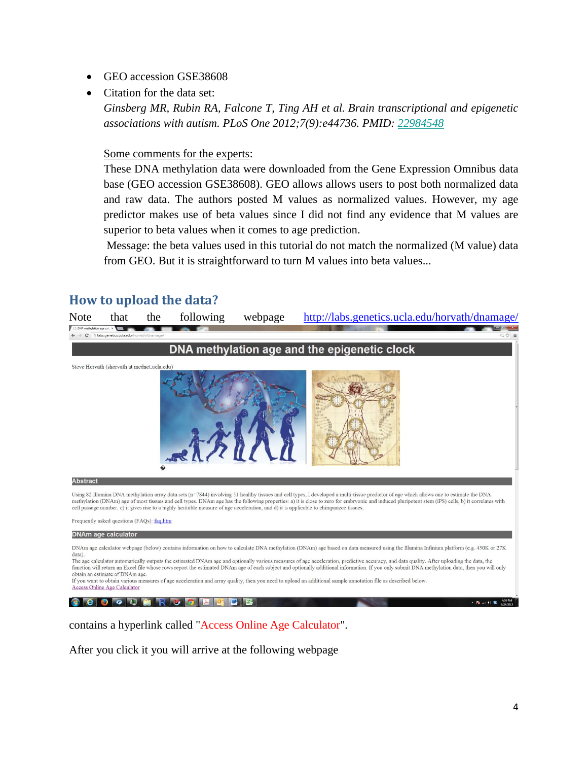- GEO accession GSE38608
- Citation for the data set:

*Ginsberg MR, Rubin RA, Falcone T, Ting AH et al. Brain transcriptional and epigenetic associations with autism. PLoS One 2012;7(9):e44736. PMID: [22984548](http://www.ncbi.nlm.nih.gov/pubmed/22984548)*

#### Some comments for the experts:

These DNA methylation data were downloaded from the Gene Expression Omnibus data base (GEO accession GSE38608). GEO allows allows users to post both normalized data and raw data. The authors posted M values as normalized values. However, my age predictor makes use of beta values since I did not find any evidence that M values are superior to beta values when it comes to age prediction.

Message: the beta values used in this tutorial do not match the normalized (M value) data from GEO. But it is straightforward to turn M values into beta values...

### <span id="page-3-0"></span>**How to upload the data?**



**Reio Queru Rusici II de l'Alia** 

contains a hyperlink called "Access Online Age Calculator".

After you click it you will arrive at the following webpage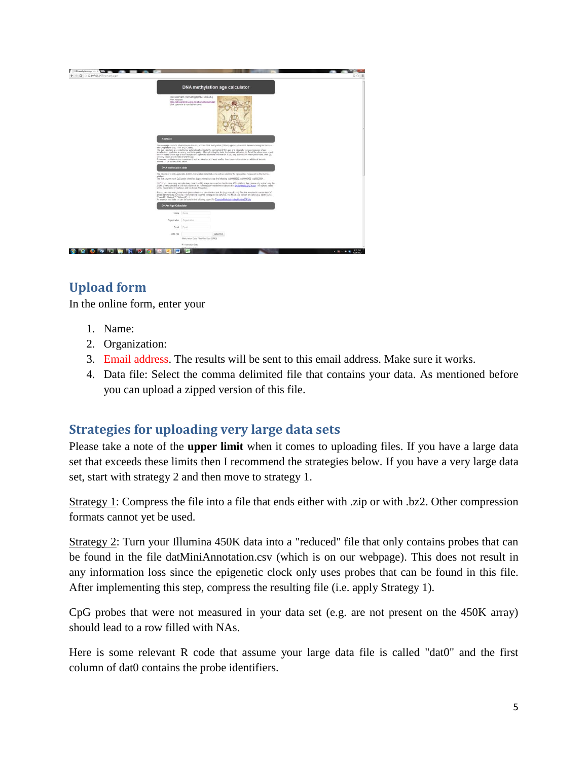

# <span id="page-4-0"></span>**Upload form**

In the online form, enter your

- 1. Name:
- 2. Organization:
- 3. Email address. The results will be sent to this email address. Make sure it works.
- 4. Data file: Select the comma delimited file that contains your data. As mentioned before you can upload a zipped version of this file.

# <span id="page-4-1"></span>**Strategies for uploading very large data sets**

Please take a note of the **upper limit** when it comes to uploading files. If you have a large data set that exceeds these limits then I recommend the strategies below. If you have a very large data set, start with strategy 2 and then move to strategy 1.

Strategy 1: Compress the file into a file that ends either with .zip or with .bz2. Other compression formats cannot yet be used.

Strategy 2: Turn your Illumina 450K data into a "reduced" file that only contains probes that can be found in the file datMiniAnnotation.csv (which is on our webpage). This does not result in any information loss since the epigenetic clock only uses probes that can be found in this file. After implementing this step, compress the resulting file (i.e. apply Strategy 1).

CpG probes that were not measured in your data set (e.g. are not present on the 450K array) should lead to a row filled with NAs.

Here is some relevant R code that assume your large data file is called "dat0" and the first column of dat0 contains the probe identifiers.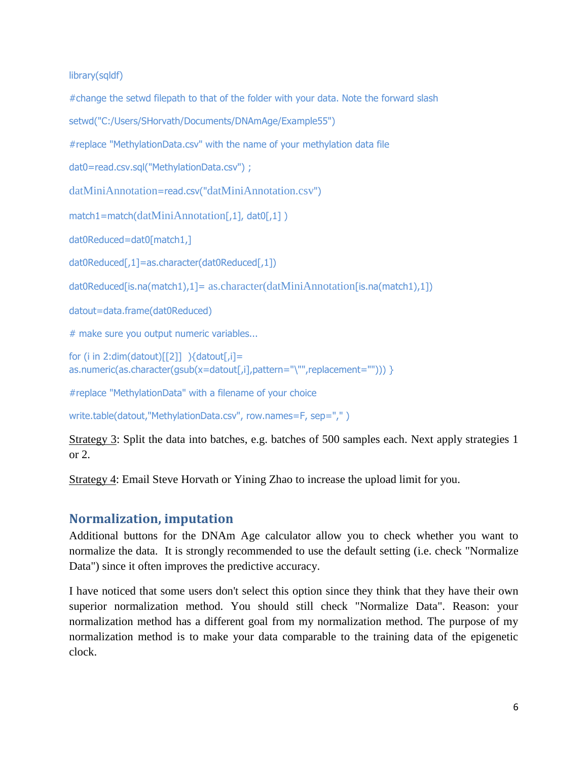library(sqldf)

```
#change the setwd filepath to that of the folder with your data. Note the forward slash
setwd("C:/Users/SHorvath/Documents/DNAmAge/Example55")
#replace "MethylationData.csv" with the name of your methylation data file
dat0=read.csv.sql("MethylationData.csv") ;
datMiniAnnotation=read.csv("datMiniAnnotation.csv")
match1=match(datMiniAnnotation[,1], dat0[,1])
dat0Reduced=dat0[match1,]
dat0Reduced[,1]=as.character(dat0Reduced[,1])
dat0Reduced[is.na(match1),1]= as.character(datMiniAnnotation[is.na(match1),1])
datout=data.frame(dat0Reduced)
# make sure you output numeric variables...
for (i in 2:dim(datout)[2]] ){datout[,i]=
as.numeric(as.character(gsub(x=datout[,i],pattern="\"",replacement=""))) }
```
#replace "MethylationData" with a filename of your choice

write.table(datout,"MethylationData.csv", row.names=F, sep=",")

Strategy 3: Split the data into batches, e.g. batches of 500 samples each. Next apply strategies 1 or 2.

Strategy 4: Email Steve Horvath or Yining Zhao to increase the upload limit for you.

## <span id="page-5-0"></span>**Normalization, imputation**

Additional buttons for the DNAm Age calculator allow you to check whether you want to normalize the data. It is strongly recommended to use the default setting (i.e. check "Normalize Data") since it often improves the predictive accuracy.

I have noticed that some users don't select this option since they think that they have their own superior normalization method. You should still check "Normalize Data". Reason: your normalization method has a different goal from my normalization method. The purpose of my normalization method is to make your data comparable to the training data of the epigenetic clock.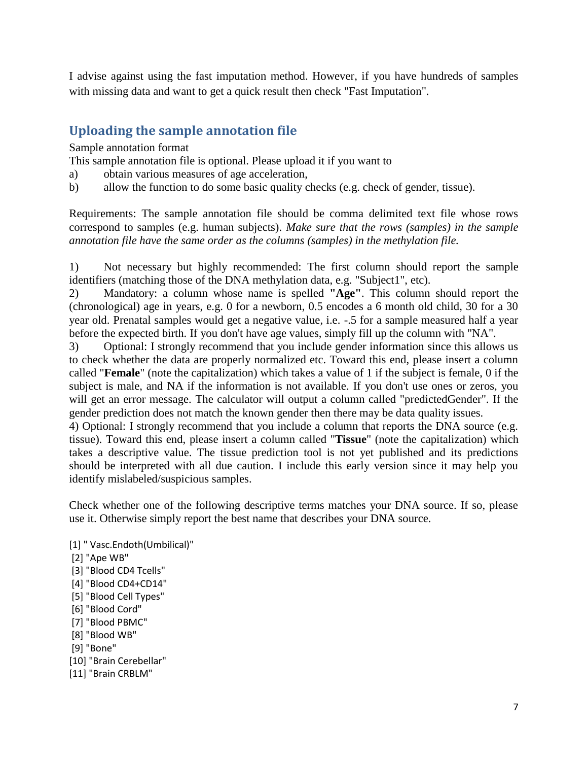I advise against using the fast imputation method. However, if you have hundreds of samples with missing data and want to get a quick result then check "Fast Imputation".

# <span id="page-6-0"></span>**Uploading the sample annotation file**

Sample annotation format

This sample annotation file is optional. Please upload it if you want to

- a) obtain various measures of age acceleration,
- b) allow the function to do some basic quality checks (e.g. check of gender, tissue).

Requirements: The sample annotation file should be comma delimited text file whose rows correspond to samples (e.g. human subjects). *Make sure that the rows (samples) in the sample annotation file have the same order as the columns (samples) in the methylation file.*

1) Not necessary but highly recommended: The first column should report the sample identifiers (matching those of the DNA methylation data, e.g. "Subject1", etc).

2) Mandatory: a column whose name is spelled **"Age"**. This column should report the (chronological) age in years, e.g. 0 for a newborn, 0.5 encodes a 6 month old child, 30 for a 30 year old. Prenatal samples would get a negative value, i.e. -.5 for a sample measured half a year before the expected birth. If you don't have age values, simply fill up the column with "NA".

3) Optional: I strongly recommend that you include gender information since this allows us to check whether the data are properly normalized etc. Toward this end, please insert a column called "**Female**" (note the capitalization) which takes a value of 1 if the subject is female, 0 if the subject is male, and NA if the information is not available. If you don't use ones or zeros, you will get an error message. The calculator will output a column called "predictedGender". If the gender prediction does not match the known gender then there may be data quality issues.

4) Optional: I strongly recommend that you include a column that reports the DNA source (e.g. tissue). Toward this end, please insert a column called "**Tissue**" (note the capitalization) which takes a descriptive value. The tissue prediction tool is not yet published and its predictions should be interpreted with all due caution. I include this early version since it may help you identify mislabeled/suspicious samples.

Check whether one of the following descriptive terms matches your DNA source. If so, please use it. Otherwise simply report the best name that describes your DNA source.

- [1] " Vasc.Endoth(Umbilical)"
- [2] "Ape WB"
- [3] "Blood CD4 Tcells"
- [4] "Blood CD4+CD14"
- [5] "Blood Cell Types"
- [6] "Blood Cord"
- [7] "Blood PBMC"
- [8] "Blood WB"
- [9] "Bone"
- [10] "Brain Cerebellar"
- [11] "Brain CRBLM"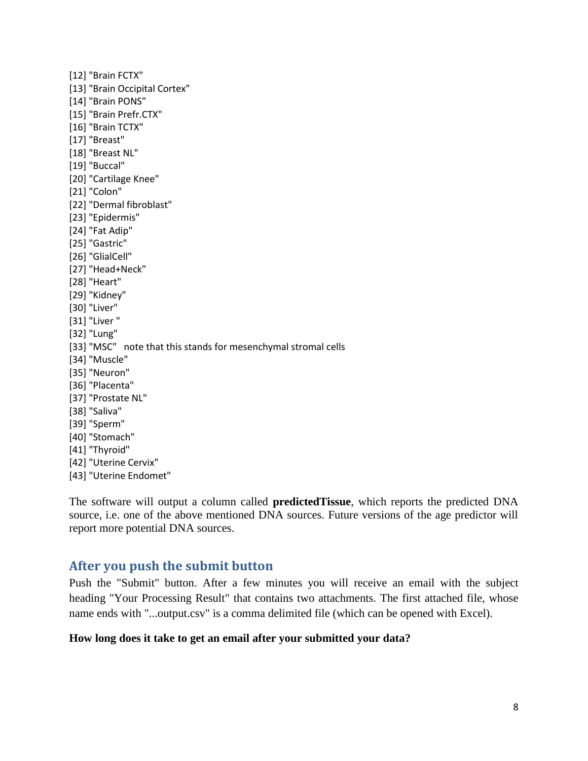- [12] "Brain FCTX"
- [13] "Brain Occipital Cortex"
- [14] "Brain PONS"
- [15] "Brain Prefr.CTX"
- [16] "Brain TCTX"
- [17] "Breast"
- [18] "Breast NL"
- [19] "Buccal"
- [20] "Cartilage Knee"
- [21] "Colon"
- [22] "Dermal fibroblast"
- [23] "Epidermis"
- [24] "Fat Adip"
- [25] "Gastric"
- [26] "GlialCell"
- [27] "Head+Neck"
- [28] "Heart"
- [29] "Kidney"
- [30] "Liver"
- [31] "Liver "
- [32] "Lung"
- [33] "MSC" note that this stands for mesenchymal stromal cells
- [34] "Muscle"
- [35] "Neuron"
- [36] "Placenta"
- [37] "Prostate NL"
- [38] "Saliva"
- [39] "Sperm"
- [40] "Stomach"
- [41] "Thyroid"
- [42] "Uterine Cervix"
- [43] "Uterine Endomet"

The software will output a column called **predictedTissue**, which reports the predicted DNA source, i.e. one of the above mentioned DNA sources. Future versions of the age predictor will report more potential DNA sources.

## <span id="page-7-0"></span>**After you push the submit button**

Push the "Submit" button. After a few minutes you will receive an email with the subject heading "Your Processing Result" that contains two attachments. The first attached file, whose name ends with "...output.csv" is a comma delimited file (which can be opened with Excel).

#### **How long does it take to get an email after your submitted your data?**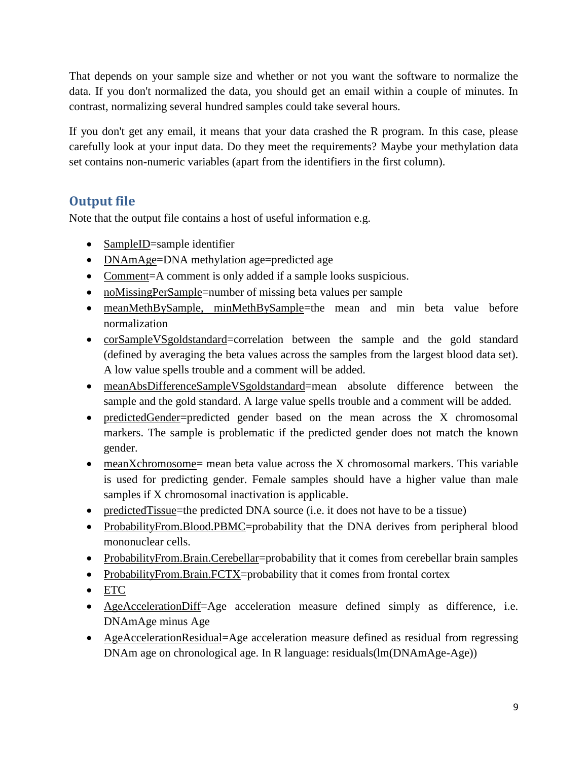That depends on your sample size and whether or not you want the software to normalize the data. If you don't normalized the data, you should get an email within a couple of minutes. In contrast, normalizing several hundred samples could take several hours.

If you don't get any email, it means that your data crashed the R program. In this case, please carefully look at your input data. Do they meet the requirements? Maybe your methylation data set contains non-numeric variables (apart from the identifiers in the first column).

# <span id="page-8-0"></span>**Output file**

Note that the output file contains a host of useful information e.g.

- SampleID=sample identifier
- DNAmAge=DNA methylation age=predicted age
- Comment=A comment is only added if a sample looks suspicious.
- noMissingPerSample=number of missing beta values per sample
- meanMethBySample, minMethBySample=the mean and min beta value before normalization
- corSampleVSgoldstandard=correlation between the sample and the gold standard (defined by averaging the beta values across the samples from the largest blood data set). A low value spells trouble and a comment will be added.
- meanAbsDifferenceSampleVSgoldstandard=mean absolute difference between the sample and the gold standard. A large value spells trouble and a comment will be added.
- predictedGender=predicted gender based on the mean across the X chromosomal markers. The sample is problematic if the predicted gender does not match the known gender.
- meanXchromosome= mean beta value across the X chromosomal markers. This variable is used for predicting gender. Female samples should have a higher value than male samples if X chromosomal inactivation is applicable.
- predictedTissue=the predicted DNA source (i.e. it does not have to be a tissue)
- ProbabilityFrom.Blood.PBMC=probability that the DNA derives from peripheral blood mononuclear cells.
- ProbabilityFrom.Brain.Cerebellar=probability that it comes from cerebellar brain samples
- ProbabilityFrom.Brain.FCTX=probability that it comes from frontal cortex
- ETC
- AgeAccelerationDiff=Age acceleration measure defined simply as difference, i.e. DNAmAge minus Age
- AgeAccelerationResidual=Age acceleration measure defined as residual from regressing DNAm age on chronological age. In R language: residuals(lm(DNAmAge-Age))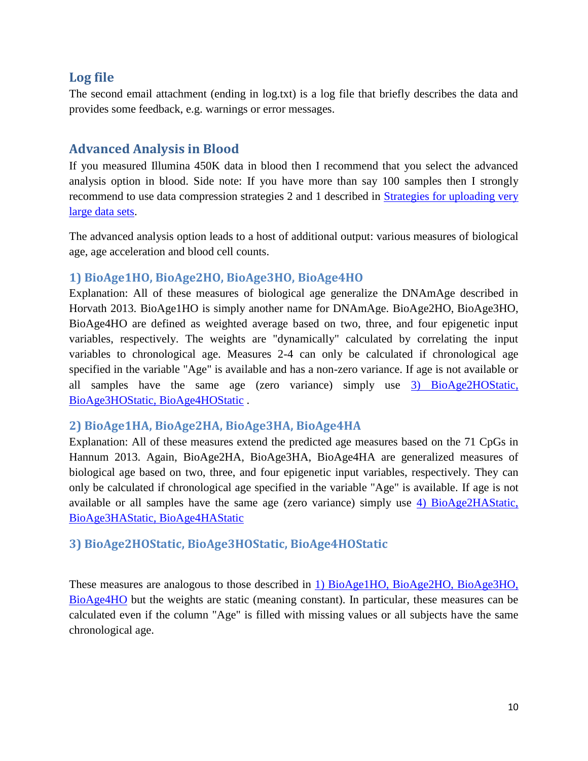### <span id="page-9-0"></span>**Log file**

The second email attachment (ending in log.txt) is a log file that briefly describes the data and provides some feedback, e.g. warnings or error messages.

## <span id="page-9-1"></span>**Advanced Analysis in Blood**

If you measured Illumina 450K data in blood then I recommend that you select the advanced analysis option in blood. Side note: If you have more than say 100 samples then I strongly recommend to use data compression strategies 2 and 1 described in [Strategies for uploading very](#page-4-1)  [large data sets.](#page-4-1)

The advanced analysis option leads to a host of additional output: various measures of biological age, age acceleration and blood cell counts.

### <span id="page-9-2"></span>**1) BioAge1HO, BioAge2HO, BioAge3HO, BioAge4HO**

Explanation: All of these measures of biological age generalize the DNAmAge described in Horvath 2013. BioAge1HO is simply another name for DNAmAge. BioAge2HO, BioAge3HO, BioAge4HO are defined as weighted average based on two, three, and four epigenetic input variables, respectively. The weights are "dynamically" calculated by correlating the input variables to chronological age. Measures 2-4 can only be calculated if chronological age specified in the variable "Age" is available and has a non-zero variance. If age is not available or all samples have the same age (zero variance) simply use [3\) BioAge2HOStatic,](#page-9-4) [BioAge3HOStatic,](#page-9-4) BioAge4HOStatic .

### <span id="page-9-3"></span>**2) BioAge1HA, BioAge2HA, BioAge3HA, BioAge4HA**

Explanation: All of these measures extend the predicted age measures based on the 71 CpGs in Hannum 2013. Again, BioAge2HA, BioAge3HA, BioAge4HA are generalized measures of biological age based on two, three, and four epigenetic input variables, respectively. They can only be calculated if chronological age specified in the variable "Age" is available. If age is not available or all samples have the same age (zero variance) simply use  $\overline{4}$ ) BioAge2HAStatic, [BioAge3HAStatic, BioAge4HAStatic](#page-10-0)

### <span id="page-9-4"></span>**3) BioAge2HOStatic, BioAge3HOStatic, BioAge4HOStatic**

These measures are analogous to those described in [1\) BioAge1HO, BioAge2HO, BioAge3HO,](#page-9-2)  [BioAge4HO](#page-9-2) but the weights are static (meaning constant). In particular, these measures can be calculated even if the column "Age" is filled with missing values or all subjects have the same chronological age.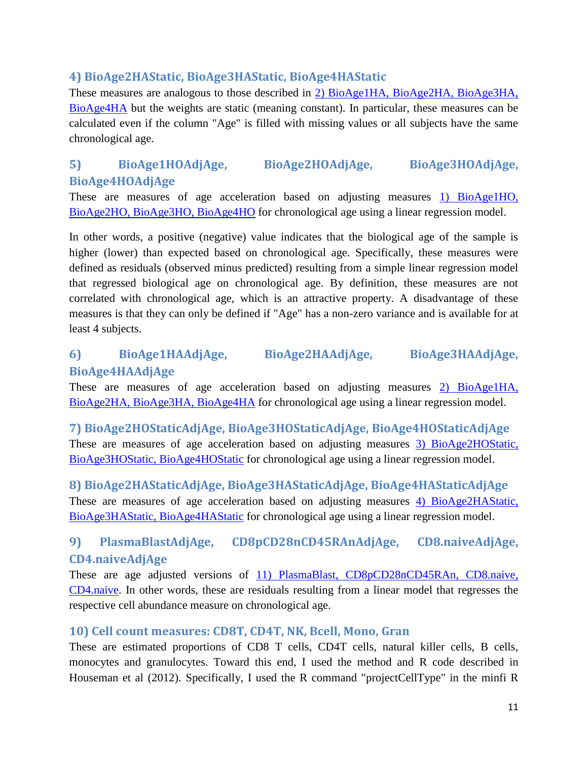### <span id="page-10-0"></span>**4) BioAge2HAStatic, BioAge3HAStatic, BioAge4HAStatic**

These measures are analogous to those described in [2\) BioAge1HA, BioAge2HA, BioAge3HA,](#page-9-3)  [BioAge4HA](#page-9-3) but the weights are static (meaning constant). In particular, these measures can be calculated even if the column "Age" is filled with missing values or all subjects have the same chronological age.

# <span id="page-10-1"></span>**5) BioAge1HOAdjAge, BioAge2HOAdjAge, BioAge3HOAdjAge, BioAge4HOAdjAge**

These are measures of age acceleration based on adjusting measures [1\) BioAge1HO,](#page-9-2)  [BioAge2HO, BioAge3HO, BioAge4HO](#page-9-2) for chronological age using a linear regression model.

In other words, a positive (negative) value indicates that the biological age of the sample is higher (lower) than expected based on chronological age. Specifically, these measures were defined as residuals (observed minus predicted) resulting from a simple linear regression model that regressed biological age on chronological age. By definition, these measures are not correlated with chronological age, which is an attractive property. A disadvantage of these measures is that they can only be defined if "Age" has a non-zero variance and is available for at least 4 subjects.

# <span id="page-10-2"></span>**6) BioAge1HAAdjAge, BioAge2HAAdjAge, BioAge3HAAdjAge, BioAge4HAAdjAge**

These are measures of age acceleration based on adjusting measures [2\) BioAge1HA,](#page-9-3)  [BioAge2HA, BioAge3HA, BioAge4HA](#page-9-3) for chronological age using a linear regression model.

<span id="page-10-3"></span>**7) BioAge2HOStaticAdjAge, BioAge3HOStaticAdjAge, BioAge4HOStaticAdjAge** These are measures of age acceleration based on adjusting measures [3\) BioAge2HOStatic,](#page-9-4)  [BioAge3HOStatic, BioAge4HOStatic](#page-9-4) for chronological age using a linear regression model.

<span id="page-10-4"></span>**8) BioAge2HAStaticAdjAge, BioAge3HAStaticAdjAge, BioAge4HAStaticAdjAge** These are measures of age acceleration based on adjusting measures [4\) BioAge2HAStatic,](#page-10-0)  [BioAge3HAStatic, BioAge4HAStatic](#page-10-0) for chronological age using a linear regression model.

# <span id="page-10-5"></span>**9) PlasmaBlastAdjAge, CD8pCD28nCD45RAnAdjAge, CD8.naiveAdjAge, CD4.naiveAdjAge**

These are age adjusted versions of [11\) PlasmaBlast, CD8pCD28nCD45RAn, CD8.naive,](#page-11-0)  [CD4.naive.](#page-11-0) In other words, these are residuals resulting from a linear model that regresses the respective cell abundance measure on chronological age.

### <span id="page-10-6"></span>**10) Cell count measures: CD8T, CD4T, NK, Bcell, Mono, Gran**

These are estimated proportions of CD8 T cells, CD4T cells, natural killer cells, B cells, monocytes and granulocytes. Toward this end, I used the method and R code described in Houseman et al (2012). Specifically, I used the R command "projectCellType" in the minfi R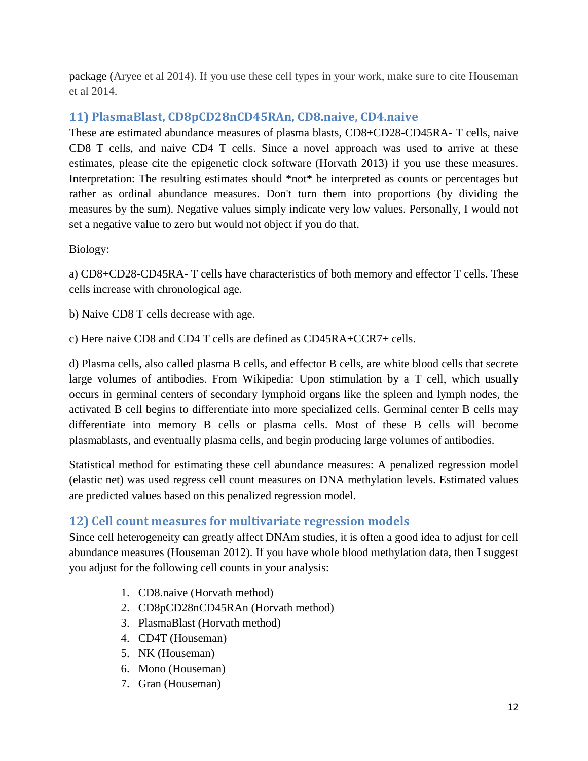package (Aryee et al 2014). If you use these cell types in your work, make sure to cite Houseman et al 2014.

## <span id="page-11-0"></span>**11) PlasmaBlast, CD8pCD28nCD45RAn, CD8.naive, CD4.naive**

These are estimated abundance measures of plasma blasts, CD8+CD28-CD45RA- T cells, naive CD8 T cells, and naive CD4 T cells. Since a novel approach was used to arrive at these estimates, please cite the epigenetic clock software (Horvath 2013) if you use these measures. Interpretation: The resulting estimates should \*not\* be interpreted as counts or percentages but rather as ordinal abundance measures. Don't turn them into proportions (by dividing the measures by the sum). Negative values simply indicate very low values. Personally, I would not set a negative value to zero but would not object if you do that.

Biology:

a) CD8+CD28-CD45RA- T cells have characteristics of both memory and effector T cells. These cells increase with chronological age.

b) Naive CD8 T cells decrease with age.

c) Here naive CD8 and CD4 T cells are defined as CD45RA+CCR7+ cells.

d) Plasma cells, also called plasma B cells, and effector B cells, are white blood cells that secrete large volumes of antibodies. From Wikipedia: Upon stimulation by a T cell, which usually occurs in germinal centers of secondary lymphoid organs like the spleen and lymph nodes, the activated B cell begins to differentiate into more specialized cells. Germinal center B cells may differentiate into memory B cells or plasma cells. Most of these B cells will become plasmablasts, and eventually plasma cells, and begin producing large volumes of antibodies.

Statistical method for estimating these cell abundance measures: A penalized regression model (elastic net) was used regress cell count measures on DNA methylation levels. Estimated values are predicted values based on this penalized regression model.

## <span id="page-11-1"></span>**12) Cell count measures for multivariate regression models**

Since cell heterogeneity can greatly affect DNAm studies, it is often a good idea to adjust for cell abundance measures (Houseman 2012). If you have whole blood methylation data, then I suggest you adjust for the following cell counts in your analysis:

- 1. CD8.naive (Horvath method)
- 2. CD8pCD28nCD45RAn (Horvath method)
- 3. PlasmaBlast (Horvath method)
- 4. CD4T (Houseman)
- 5. NK (Houseman)
- 6. Mono (Houseman)
- 7. Gran (Houseman)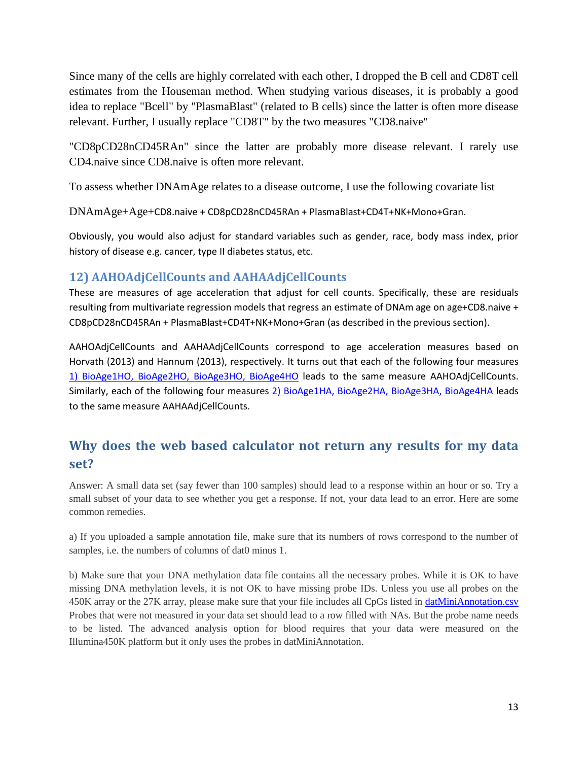Since many of the cells are highly correlated with each other, I dropped the B cell and CD8T cell estimates from the Houseman method. When studying various diseases, it is probably a good idea to replace "Bcell" by "PlasmaBlast" (related to B cells) since the latter is often more disease relevant. Further, I usually replace "CD8T" by the two measures "CD8.naive"

"CD8pCD28nCD45RAn" since the latter are probably more disease relevant. I rarely use CD4.naive since CD8.naive is often more relevant.

To assess whether DNAmAge relates to a disease outcome, I use the following covariate list

DNAmAge+Age+CD8.naive + CD8pCD28nCD45RAn + PlasmaBlast+CD4T+NK+Mono+Gran.

Obviously, you would also adjust for standard variables such as gender, race, body mass index, prior history of disease e.g. cancer, type II diabetes status, etc.

### <span id="page-12-0"></span>**12) AAHOAdjCellCounts and AAHAAdjCellCounts**

These are measures of age acceleration that adjust for cell counts. Specifically, these are residuals resulting from multivariate regression models that regress an estimate of DNAm age on age+CD8.naive + CD8pCD28nCD45RAn + PlasmaBlast+CD4T+NK+Mono+Gran (as described in the previous section).

AAHOAdjCellCounts and AAHAAdjCellCounts correspond to age acceleration measures based on Horvath (2013) and Hannum (2013), respectively. It turns out that each of the following four measures [1\) BioAge1HO, BioAge2HO, BioAge3HO, BioAge4HO](#page-9-2) leads to the same measure AAHOAdjCellCounts. Similarly, each of the following four measures [2\) BioAge1HA, BioAge2HA, BioAge3HA, BioAge4HA](#page-9-3) leads to the same measure AAHAAdjCellCounts.

# <span id="page-12-1"></span>**Why does the web based calculator not return any results for my data set?**

Answer: A small data set (say fewer than 100 samples) should lead to a response within an hour or so. Try a small subset of your data to see whether you get a response. If not, your data lead to an error. Here are some common remedies.

a) If you uploaded a sample annotation file, make sure that its numbers of rows correspond to the number of samples, i.e. the numbers of columns of dat0 minus 1.

b) Make sure that your DNA methylation data file contains all the necessary probes. While it is OK to have missing DNA methylation levels, it is not OK to have missing probe IDs. Unless you use all probes on the 450K array or the 27K array, please make sure that your file includes all CpGs listed in *datMiniAnnotation.csv* Probes that were not measured in your data set should lead to a row filled with NAs. But the probe name needs to be listed. The advanced analysis option for blood requires that your data were measured on the Illumina450K platform but it only uses the probes in datMiniAnnotation.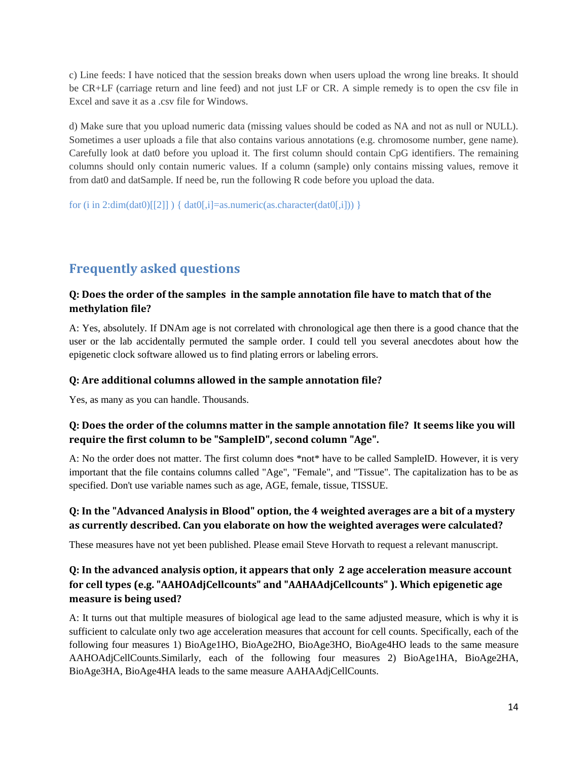c) Line feeds: I have noticed that the session breaks down when users upload the wrong line breaks. It should be CR+LF (carriage return and line feed) and not just LF or CR. A simple remedy is to open the csv file in Excel and save it as a .csv file for Windows.

d) Make sure that you upload numeric data (missing values should be coded as NA and not as null or NULL). Sometimes a user uploads a file that also contains various annotations (e.g. chromosome number, gene name). Carefully look at dat0 before you upload it. The first column should contain CpG identifiers. The remaining columns should only contain numeric values. If a column (sample) only contains missing values, remove it from dat0 and datSample. If need be, run the following R code before you upload the data.

for (i in 2:dim(dat0)[[2]] ) { dat0[,i]=as.numeric(as.character(dat0[,i])) }

# <span id="page-13-0"></span>**Frequently asked questions**

#### <span id="page-13-1"></span>**Q: Does the order of the samples in the sample annotation file have to match that of the methylation file?**

A: Yes, absolutely. If DNAm age is not correlated with chronological age then there is a good chance that the user or the lab accidentally permuted the sample order. I could tell you several anecdotes about how the epigenetic clock software allowed us to find plating errors or labeling errors.

#### <span id="page-13-2"></span>**Q: Are additional columns allowed in the sample annotation file?**

Yes, as many as you can handle. Thousands.

#### <span id="page-13-3"></span>**Q: Does the order of the columns matter in the sample annotation file? It seems like you will require the first column to be "SampleID", second column "Age".**

A: No the order does not matter. The first column does \*not\* have to be called SampleID. However, it is very important that the file contains columns called "Age", "Female", and "Tissue". The capitalization has to be as specified. Don't use variable names such as age, AGE, female, tissue, TISSUE.

#### <span id="page-13-4"></span>**Q: In the "Advanced Analysis in Blood" option, the 4 weighted averages are a bit of a mystery as currently described. Can you elaborate on how the weighted averages were calculated?**

These measures have not yet been published. Please email Steve Horvath to request a relevant manuscript.

#### <span id="page-13-5"></span>**Q: In the advanced analysis option, it appears that only 2 age acceleration measure account for cell types (e.g. "AAHOAdjCellcounts" and "AAHAAdjCellcounts" ). Which epigenetic age measure is being used?**

A: It turns out that multiple measures of biological age lead to the same adjusted measure, which is why it is sufficient to calculate only two age acceleration measures that account for cell counts. Specifically, each of the following four measures 1) BioAge1HO, BioAge2HO, BioAge3HO, BioAge4HO leads to the same measure AAHOAdjCellCounts.Similarly, each of the following four measures 2) BioAge1HA, BioAge2HA, BioAge3HA, BioAge4HA leads to the same measure AAHAAdjCellCounts.